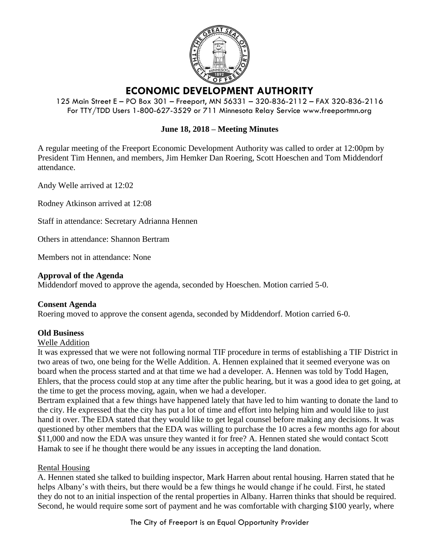

# **ECONOMIC DEVELOPMENT AUTHORITY**

125 Main Street E – PO Box 301 – Freeport, MN 56331 – 320-836-2112 – FAX 320-836-2116 For TTY/TDD Users 1-800-627-3529 or 711 Minnesota Relay Service www.freeportmn.org

## **June 18, 2018 – Meeting Minutes**

A regular meeting of the Freeport Economic Development Authority was called to order at 12:00pm by President Tim Hennen, and members, Jim Hemker Dan Roering, Scott Hoeschen and Tom Middendorf attendance.

Andy Welle arrived at 12:02

Rodney Atkinson arrived at 12:08

Staff in attendance: Secretary Adrianna Hennen

Others in attendance: Shannon Bertram

Members not in attendance: None

#### **Approval of the Agenda**

Middendorf moved to approve the agenda, seconded by Hoeschen. Motion carried 5-0.

### **Consent Agenda**

Roering moved to approve the consent agenda, seconded by Middendorf. Motion carried 6-0.

### **Old Business**

#### Welle Addition

It was expressed that we were not following normal TIF procedure in terms of establishing a TIF District in two areas of two, one being for the Welle Addition. A. Hennen explained that it seemed everyone was on board when the process started and at that time we had a developer. A. Hennen was told by Todd Hagen, Ehlers, that the process could stop at any time after the public hearing, but it was a good idea to get going, at the time to get the process moving, again, when we had a developer.

Bertram explained that a few things have happened lately that have led to him wanting to donate the land to the city. He expressed that the city has put a lot of time and effort into helping him and would like to just hand it over. The EDA stated that they would like to get legal counsel before making any decisions. It was questioned by other members that the EDA was willing to purchase the 10 acres a few months ago for about \$11,000 and now the EDA was unsure they wanted it for free? A. Hennen stated she would contact Scott Hamak to see if he thought there would be any issues in accepting the land donation.

### Rental Housing

A. Hennen stated she talked to building inspector, Mark Harren about rental housing. Harren stated that he helps Albany's with theirs, but there would be a few things he would change if he could. First, he stated they do not to an initial inspection of the rental properties in Albany. Harren thinks that should be required. Second, he would require some sort of payment and he was comfortable with charging \$100 yearly, where